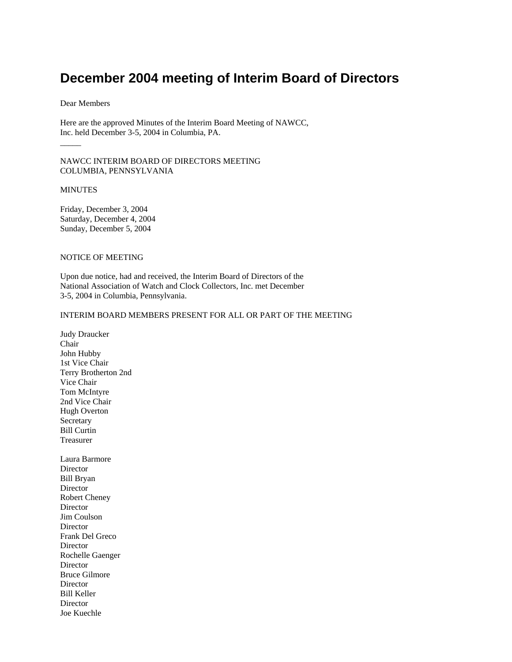# **December 2004 meeting of Interim Board of Directors**

### Dear Members

Here are the approved Minutes of the Interim Board Meeting of NAWCC, Inc. held December 3-5, 2004 in Columbia, PA.

NAWCC INTERIM BOARD OF DIRECTORS MEETING COLUMBIA, PENNSYLVANIA

### MINUTES

 $\overline{\phantom{a}}$ 

Friday, December 3, 2004 Saturday, December 4, 2004 Sunday, December 5, 2004

# NOTICE OF MEETING

Upon due notice, had and received, the Interim Board of Directors of the National Association of Watch and Clock Collectors, Inc. met December 3-5, 2004 in Columbia, Pennsylvania.

## INTERIM BOARD MEMBERS PRESENT FOR ALL OR PART OF THE MEETING

Judy Draucker Chair John Hubby 1st Vice Chair Terry Brotherton 2nd Vice Chair Tom McIntyre 2nd Vice Chair Hugh Overton Secretary Bill Curtin Treasurer Laura Barmore **Director** Bill Bryan **Director** Robert Cheney Director Jim Coulson Director Frank Del Greco Director Rochelle Gaenger Director Bruce Gilmore Director Bill Keller **Director** Joe Kuechle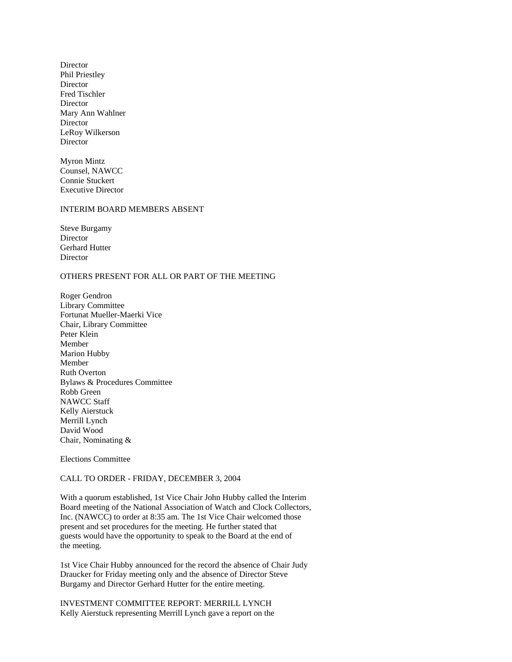Director Phil Priestley Director Fred Tischler Director Mary Ann Wahlner **Director** LeRoy Wilkerson Director

Myron Mintz Counsel, NAWCC Connie Stuckert Executive Director

# INTERIM BOARD MEMBERS ABSENT

Steve Burgamy Director Gerhard Hutter **Director** 

### OTHERS PRESENT FOR ALL OR PART OF THE MEETING

Roger Gendron Library Committee Fortunat Mueller-Maerki Vice Chair, Library Committee Peter Klein Member Marion Hubby Member Ruth Overton Bylaws & Procedures Committee Robb Green NAWCC Staff Kelly Aierstuck Merrill Lynch David Wood Chair, Nominating &

Elections Committee

## CALL TO ORDER - FRIDAY, DECEMBER 3, 2004

With a quorum established, 1st Vice Chair John Hubby called the Interim Board meeting of the National Association of Watch and Clock Collectors, Inc. (NAWCC) to order at 8:35 am. The 1st Vice Chair welcomed those present and set procedures for the meeting. He further stated that guests would have the opportunity to speak to the Board at the end of the meeting.

1st Vice Chair Hubby announced for the record the absence of Chair Judy Draucker for Friday meeting only and the absence of Director Steve Burgamy and Director Gerhard Hutter for the entire meeting.

INVESTMENT COMMITTEE REPORT: MERRILL LYNCH Kelly Aierstuck representing Merrill Lynch gave a report on the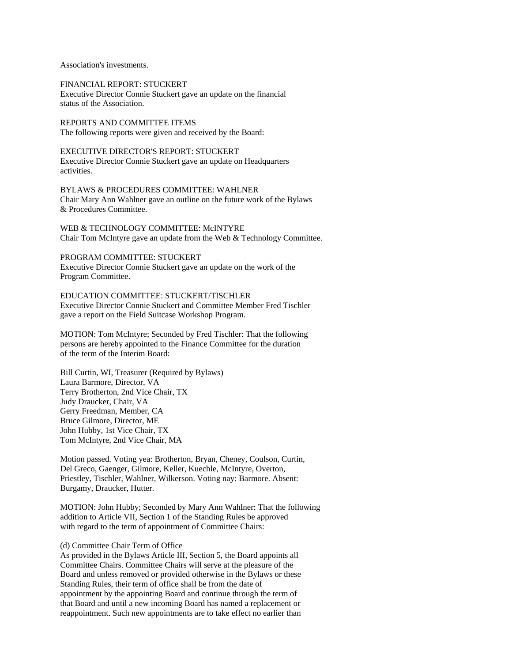Association's investments.

FINANCIAL REPORT: STUCKERT Executive Director Connie Stuckert gave an update on the financial status of the Association.

REPORTS AND COMMITTEE ITEMS The following reports were given and received by the Board:

EXECUTIVE DIRECTOR'S REPORT: STUCKERT Executive Director Connie Stuckert gave an update on Headquarters activities.

BYLAWS & PROCEDURES COMMITTEE: WAHLNER Chair Mary Ann Wahlner gave an outline on the future work of the Bylaws & Procedures Committee.

WEB & TECHNOLOGY COMMITTEE: McINTYRE Chair Tom McIntyre gave an update from the Web & Technology Committee.

PROGRAM COMMITTEE: STUCKERT Executive Director Connie Stuckert gave an update on the work of the Program Committee.

EDUCATION COMMITTEE: STUCKERT/TISCHLER Executive Director Connie Stuckert and Committee Member Fred Tischler gave a report on the Field Suitcase Workshop Program.

MOTION: Tom McIntyre; Seconded by Fred Tischler: That the following persons are hereby appointed to the Finance Committee for the duration of the term of the Interim Board:

Bill Curtin, WI, Treasurer (Required by Bylaws) Laura Barmore, Director, VA Terry Brotherton, 2nd Vice Chair, TX Judy Draucker, Chair, VA Gerry Freedman, Member, CA Bruce Gilmore, Director, ME John Hubby, 1st Vice Chair, TX Tom McIntyre, 2nd Vice Chair, MA

Motion passed. Voting yea: Brotherton, Bryan, Cheney, Coulson, Curtin, Del Greco, Gaenger, Gilmore, Keller, Kuechle, McIntyre, Overton, Priestley, Tischler, Wahlner, Wilkerson. Voting nay: Barmore. Absent: Burgamy, Draucker, Hutter.

MOTION: John Hubby; Seconded by Mary Ann Wahlner: That the following addition to Article VII, Section 1 of the Standing Rules be approved with regard to the term of appointment of Committee Chairs:

#### (d) Committee Chair Term of Office

As provided in the Bylaws Article III, Section 5, the Board appoints all Committee Chairs. Committee Chairs will serve at the pleasure of the Board and unless removed or provided otherwise in the Bylaws or these Standing Rules, their term of office shall be from the date of appointment by the appointing Board and continue through the term of that Board and until a new incoming Board has named a replacement or reappointment. Such new appointments are to take effect no earlier than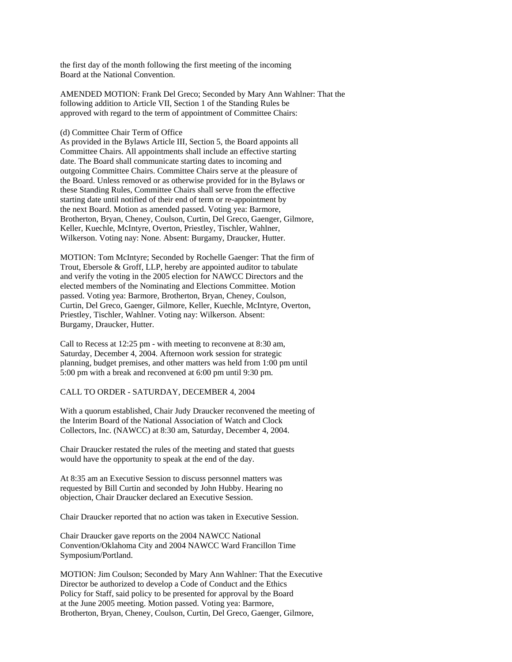the first day of the month following the first meeting of the incoming Board at the National Convention.

AMENDED MOTION: Frank Del Greco; Seconded by Mary Ann Wahlner: That the following addition to Article VII, Section 1 of the Standing Rules be approved with regard to the term of appointment of Committee Chairs:

#### (d) Committee Chair Term of Office

As provided in the Bylaws Article III, Section 5, the Board appoints all Committee Chairs. All appointments shall include an effective starting date. The Board shall communicate starting dates to incoming and outgoing Committee Chairs. Committee Chairs serve at the pleasure of the Board. Unless removed or as otherwise provided for in the Bylaws or these Standing Rules, Committee Chairs shall serve from the effective starting date until notified of their end of term or re-appointment by the next Board. Motion as amended passed. Voting yea: Barmore, Brotherton, Bryan, Cheney, Coulson, Curtin, Del Greco, Gaenger, Gilmore, Keller, Kuechle, McIntyre, Overton, Priestley, Tischler, Wahlner, Wilkerson. Voting nay: None. Absent: Burgamy, Draucker, Hutter.

MOTION: Tom McIntyre; Seconded by Rochelle Gaenger: That the firm of Trout, Ebersole & Groff, LLP, hereby are appointed auditor to tabulate and verify the voting in the 2005 election for NAWCC Directors and the elected members of the Nominating and Elections Committee. Motion passed. Voting yea: Barmore, Brotherton, Bryan, Cheney, Coulson, Curtin, Del Greco, Gaenger, Gilmore, Keller, Kuechle, McIntyre, Overton, Priestley, Tischler, Wahlner. Voting nay: Wilkerson. Absent: Burgamy, Draucker, Hutter.

Call to Recess at 12:25 pm - with meeting to reconvene at 8:30 am, Saturday, December 4, 2004. Afternoon work session for strategic planning, budget premises, and other matters was held from 1:00 pm until 5:00 pm with a break and reconvened at 6:00 pm until 9:30 pm.

#### CALL TO ORDER - SATURDAY, DECEMBER 4, 2004

With a quorum established, Chair Judy Draucker reconvened the meeting of the Interim Board of the National Association of Watch and Clock Collectors, Inc. (NAWCC) at 8:30 am, Saturday, December 4, 2004.

Chair Draucker restated the rules of the meeting and stated that guests would have the opportunity to speak at the end of the day.

At 8:35 am an Executive Session to discuss personnel matters was requested by Bill Curtin and seconded by John Hubby. Hearing no objection, Chair Draucker declared an Executive Session.

Chair Draucker reported that no action was taken in Executive Session.

Chair Draucker gave reports on the 2004 NAWCC National Convention/Oklahoma City and 2004 NAWCC Ward Francillon Time Symposium/Portland.

MOTION: Jim Coulson; Seconded by Mary Ann Wahlner: That the Executive Director be authorized to develop a Code of Conduct and the Ethics Policy for Staff, said policy to be presented for approval by the Board at the June 2005 meeting. Motion passed. Voting yea: Barmore, Brotherton, Bryan, Cheney, Coulson, Curtin, Del Greco, Gaenger, Gilmore,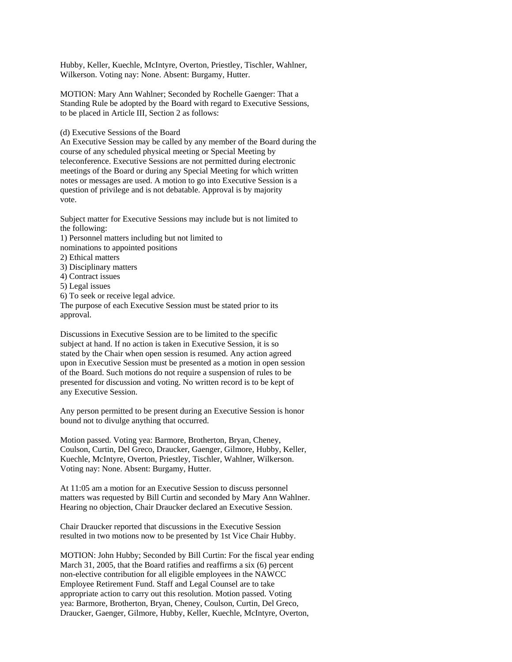Hubby, Keller, Kuechle, McIntyre, Overton, Priestley, Tischler, Wahlner, Wilkerson. Voting nay: None. Absent: Burgamy, Hutter.

MOTION: Mary Ann Wahlner; Seconded by Rochelle Gaenger: That a Standing Rule be adopted by the Board with regard to Executive Sessions, to be placed in Article III, Section 2 as follows:

(d) Executive Sessions of the Board

approval.

An Executive Session may be called by any member of the Board during the course of any scheduled physical meeting or Special Meeting by teleconference. Executive Sessions are not permitted during electronic meetings of the Board or during any Special Meeting for which written notes or messages are used. A motion to go into Executive Session is a question of privilege and is not debatable. Approval is by majority vote.

Subject matter for Executive Sessions may include but is not limited to the following: 1) Personnel matters including but not limited to nominations to appointed positions 2) Ethical matters 3) Disciplinary matters 4) Contract issues 5) Legal issues 6) To seek or receive legal advice. The purpose of each Executive Session must be stated prior to its

Discussions in Executive Session are to be limited to the specific subject at hand. If no action is taken in Executive Session, it is so stated by the Chair when open session is resumed. Any action agreed upon in Executive Session must be presented as a motion in open session of the Board. Such motions do not require a suspension of rules to be presented for discussion and voting. No written record is to be kept of any Executive Session.

Any person permitted to be present during an Executive Session is honor bound not to divulge anything that occurred.

Motion passed. Voting yea: Barmore, Brotherton, Bryan, Cheney, Coulson, Curtin, Del Greco, Draucker, Gaenger, Gilmore, Hubby, Keller, Kuechle, McIntyre, Overton, Priestley, Tischler, Wahlner, Wilkerson. Voting nay: None. Absent: Burgamy, Hutter.

At 11:05 am a motion for an Executive Session to discuss personnel matters was requested by Bill Curtin and seconded by Mary Ann Wahlner. Hearing no objection, Chair Draucker declared an Executive Session.

Chair Draucker reported that discussions in the Executive Session resulted in two motions now to be presented by 1st Vice Chair Hubby.

MOTION: John Hubby; Seconded by Bill Curtin: For the fiscal year ending March 31, 2005, that the Board ratifies and reaffirms a six (6) percent non-elective contribution for all eligible employees in the NAWCC Employee Retirement Fund. Staff and Legal Counsel are to take appropriate action to carry out this resolution. Motion passed. Voting yea: Barmore, Brotherton, Bryan, Cheney, Coulson, Curtin, Del Greco, Draucker, Gaenger, Gilmore, Hubby, Keller, Kuechle, McIntyre, Overton,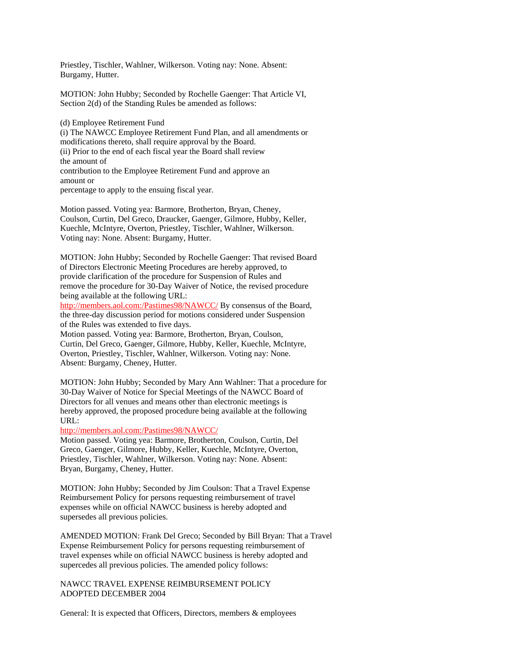Priestley, Tischler, Wahlner, Wilkerson. Voting nay: None. Absent: Burgamy, Hutter.

MOTION: John Hubby; Seconded by Rochelle Gaenger: That Article VI, Section 2(d) of the Standing Rules be amended as follows:

(i) The NAWCC Employee Retirement Fund Plan, and all amendments or modifications thereto, shall require approval by the Board. (ii) Prior to the end of each fiscal year the Board shall review the amount of contribution to the Employee Retirement Fund and approve an amount or percentage to apply to the ensuing fiscal year.

Motion passed. Voting yea: Barmore, Brotherton, Bryan, Cheney, Coulson, Curtin, Del Greco, Draucker, Gaenger, Gilmore, Hubby, Keller, Kuechle, McIntyre, Overton, Priestley, Tischler, Wahlner, Wilkerson. Voting nay: None. Absent: Burgamy, Hutter.

MOTION: John Hubby; Seconded by Rochelle Gaenger: That revised Board of Directors Electronic Meeting Procedures are hereby approved, to provide clarification of the procedure for Suspension of Rules and remove the procedure for 30-Day Waiver of Notice, the revised procedure being available at the following URL:

http://members.aol.com:/Pastimes98/NAWCC/ By consensus of the Board, the three-day discussion period for motions considered under Suspension of the Rules was extended to five days.

Motion passed. Voting yea: Barmore, Brotherton, Bryan, Coulson, Curtin, Del Greco, Gaenger, Gilmore, Hubby, Keller, Kuechle, McIntyre, Overton, Priestley, Tischler, Wahlner, Wilkerson. Voting nay: None. Absent: Burgamy, Cheney, Hutter.

MOTION: John Hubby; Seconded by Mary Ann Wahlner: That a procedure for 30-Day Waiver of Notice for Special Meetings of the NAWCC Board of Directors for all venues and means other than electronic meetings is hereby approved, the proposed procedure being available at the following URL:

http://members.aol.com:/Pastimes98/NAWCC/

Motion passed. Voting yea: Barmore, Brotherton, Coulson, Curtin, Del Greco, Gaenger, Gilmore, Hubby, Keller, Kuechle, McIntyre, Overton, Priestley, Tischler, Wahlner, Wilkerson. Voting nay: None. Absent: Bryan, Burgamy, Cheney, Hutter.

MOTION: John Hubby; Seconded by Jim Coulson: That a Travel Expense Reimbursement Policy for persons requesting reimbursement of travel expenses while on official NAWCC business is hereby adopted and supersedes all previous policies.

AMENDED MOTION: Frank Del Greco; Seconded by Bill Bryan: That a Travel Expense Reimbursement Policy for persons requesting reimbursement of travel expenses while on official NAWCC business is hereby adopted and supercedes all previous policies. The amended policy follows:

NAWCC TRAVEL EXPENSE REIMBURSEMENT POLICY ADOPTED DECEMBER 2004

General: It is expected that Officers, Directors, members & employees

<sup>(</sup>d) Employee Retirement Fund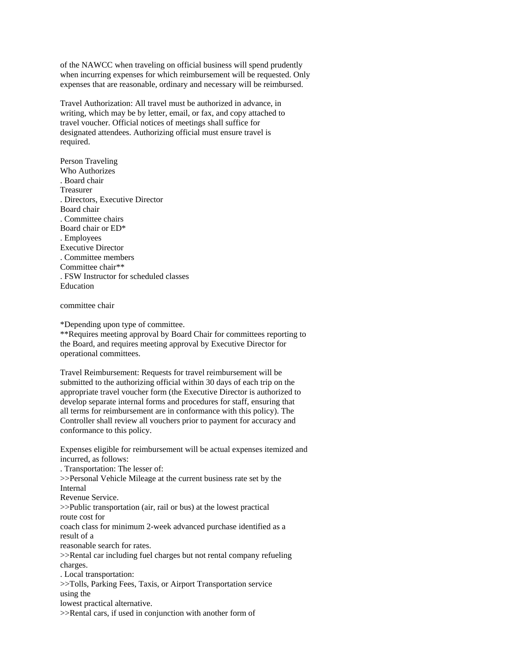of the NAWCC when traveling on official business will spend prudently when incurring expenses for which reimbursement will be requested. Only expenses that are reasonable, ordinary and necessary will be reimbursed.

Travel Authorization: All travel must be authorized in advance, in writing, which may be by letter, email, or fax, and copy attached to travel voucher. Official notices of meetings shall suffice for designated attendees. Authorizing official must ensure travel is required.

Person Traveling Who Authorizes . Board chair Treasurer . Directors, Executive Director Board chair . Committee chairs Board chair or ED\* . Employees Executive Director . Committee members Committee chair\*\* . FSW Instructor for scheduled classes Education

committee chair

\*Depending upon type of committee.

\*\*Requires meeting approval by Board Chair for committees reporting to the Board, and requires meeting approval by Executive Director for operational committees.

Travel Reimbursement: Requests for travel reimbursement will be submitted to the authorizing official within 30 days of each trip on the appropriate travel voucher form (the Executive Director is authorized to develop separate internal forms and procedures for staff, ensuring that all terms for reimbursement are in conformance with this policy). The Controller shall review all vouchers prior to payment for accuracy and conformance to this policy.

Expenses eligible for reimbursement will be actual expenses itemized and incurred, as follows:

. Transportation: The lesser of:

>>Personal Vehicle Mileage at the current business rate set by the Internal

Revenue Service.

>>Public transportation (air, rail or bus) at the lowest practical route cost for

coach class for minimum 2-week advanced purchase identified as a result of a

reasonable search for rates.

>>Rental car including fuel charges but not rental company refueling charges.

. Local transportation:

>>Tolls, Parking Fees, Taxis, or Airport Transportation service using the

lowest practical alternative.

>>Rental cars, if used in conjunction with another form of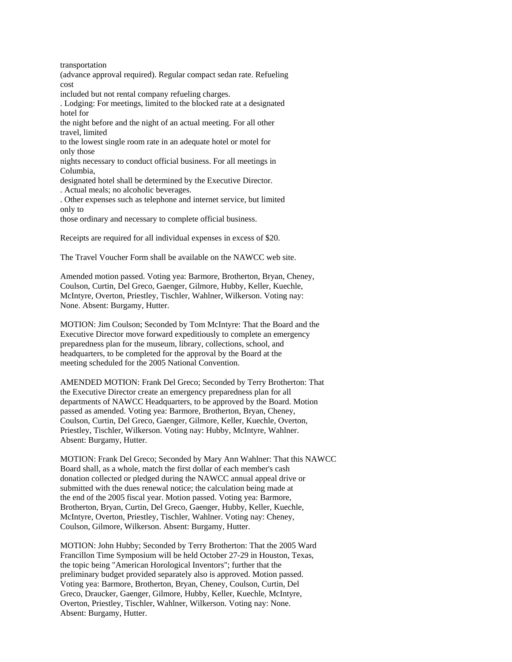transportation

(advance approval required). Regular compact sedan rate. Refueling cost

included but not rental company refueling charges.

. Lodging: For meetings, limited to the blocked rate at a designated hotel for

the night before and the night of an actual meeting. For all other travel, limited

to the lowest single room rate in an adequate hotel or motel for only those

nights necessary to conduct official business. For all meetings in Columbia,

designated hotel shall be determined by the Executive Director. . Actual meals; no alcoholic beverages.

. Other expenses such as telephone and internet service, but limited only to

those ordinary and necessary to complete official business.

Receipts are required for all individual expenses in excess of \$20.

The Travel Voucher Form shall be available on the NAWCC web site.

Amended motion passed. Voting yea: Barmore, Brotherton, Bryan, Cheney, Coulson, Curtin, Del Greco, Gaenger, Gilmore, Hubby, Keller, Kuechle, McIntyre, Overton, Priestley, Tischler, Wahlner, Wilkerson. Voting nay: None. Absent: Burgamy, Hutter.

MOTION: Jim Coulson; Seconded by Tom McIntyre: That the Board and the Executive Director move forward expeditiously to complete an emergency preparedness plan for the museum, library, collections, school, and headquarters, to be completed for the approval by the Board at the meeting scheduled for the 2005 National Convention.

AMENDED MOTION: Frank Del Greco; Seconded by Terry Brotherton: That the Executive Director create an emergency preparedness plan for all departments of NAWCC Headquarters, to be approved by the Board. Motion passed as amended. Voting yea: Barmore, Brotherton, Bryan, Cheney, Coulson, Curtin, Del Greco, Gaenger, Gilmore, Keller, Kuechle, Overton, Priestley, Tischler, Wilkerson. Voting nay: Hubby, McIntyre, Wahlner. Absent: Burgamy, Hutter.

MOTION: Frank Del Greco; Seconded by Mary Ann Wahlner: That this NAWCC Board shall, as a whole, match the first dollar of each member's cash donation collected or pledged during the NAWCC annual appeal drive or submitted with the dues renewal notice; the calculation being made at the end of the 2005 fiscal year. Motion passed. Voting yea: Barmore, Brotherton, Bryan, Curtin, Del Greco, Gaenger, Hubby, Keller, Kuechle, McIntyre, Overton, Priestley, Tischler, Wahlner. Voting nay: Cheney, Coulson, Gilmore, Wilkerson. Absent: Burgamy, Hutter.

MOTION: John Hubby; Seconded by Terry Brotherton: That the 2005 Ward Francillon Time Symposium will be held October 27-29 in Houston, Texas, the topic being "American Horological Inventors"; further that the preliminary budget provided separately also is approved. Motion passed. Voting yea: Barmore, Brotherton, Bryan, Cheney, Coulson, Curtin, Del Greco, Draucker, Gaenger, Gilmore, Hubby, Keller, Kuechle, McIntyre, Overton, Priestley, Tischler, Wahlner, Wilkerson. Voting nay: None. Absent: Burgamy, Hutter.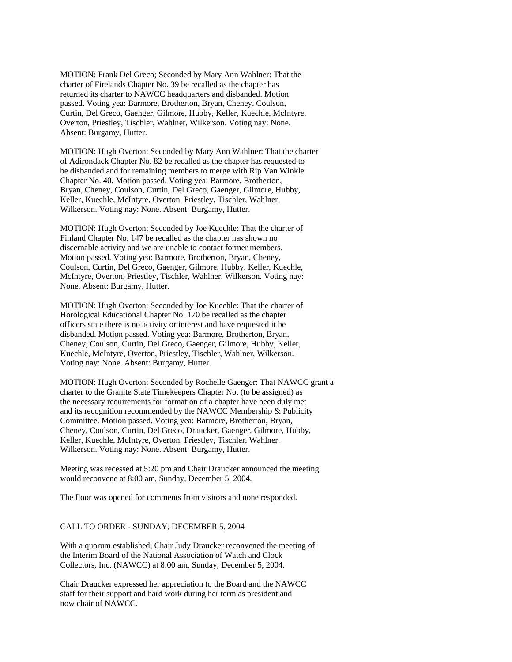MOTION: Frank Del Greco; Seconded by Mary Ann Wahlner: That the charter of Firelands Chapter No. 39 be recalled as the chapter has returned its charter to NAWCC headquarters and disbanded. Motion passed. Voting yea: Barmore, Brotherton, Bryan, Cheney, Coulson, Curtin, Del Greco, Gaenger, Gilmore, Hubby, Keller, Kuechle, McIntyre, Overton, Priestley, Tischler, Wahlner, Wilkerson. Voting nay: None. Absent: Burgamy, Hutter.

MOTION: Hugh Overton; Seconded by Mary Ann Wahlner: That the charter of Adirondack Chapter No. 82 be recalled as the chapter has requested to be disbanded and for remaining members to merge with Rip Van Winkle Chapter No. 40. Motion passed. Voting yea: Barmore, Brotherton, Bryan, Cheney, Coulson, Curtin, Del Greco, Gaenger, Gilmore, Hubby, Keller, Kuechle, McIntyre, Overton, Priestley, Tischler, Wahlner, Wilkerson. Voting nay: None. Absent: Burgamy, Hutter.

MOTION: Hugh Overton; Seconded by Joe Kuechle: That the charter of Finland Chapter No. 147 be recalled as the chapter has shown no discernable activity and we are unable to contact former members. Motion passed. Voting yea: Barmore, Brotherton, Bryan, Cheney, Coulson, Curtin, Del Greco, Gaenger, Gilmore, Hubby, Keller, Kuechle, McIntyre, Overton, Priestley, Tischler, Wahlner, Wilkerson. Voting nay: None. Absent: Burgamy, Hutter.

MOTION: Hugh Overton; Seconded by Joe Kuechle: That the charter of Horological Educational Chapter No. 170 be recalled as the chapter officers state there is no activity or interest and have requested it be disbanded. Motion passed. Voting yea: Barmore, Brotherton, Bryan, Cheney, Coulson, Curtin, Del Greco, Gaenger, Gilmore, Hubby, Keller, Kuechle, McIntyre, Overton, Priestley, Tischler, Wahlner, Wilkerson. Voting nay: None. Absent: Burgamy, Hutter.

MOTION: Hugh Overton; Seconded by Rochelle Gaenger: That NAWCC grant a charter to the Granite State Timekeepers Chapter No. (to be assigned) as the necessary requirements for formation of a chapter have been duly met and its recognition recommended by the NAWCC Membership & Publicity Committee. Motion passed. Voting yea: Barmore, Brotherton, Bryan, Cheney, Coulson, Curtin, Del Greco, Draucker, Gaenger, Gilmore, Hubby, Keller, Kuechle, McIntyre, Overton, Priestley, Tischler, Wahlner, Wilkerson. Voting nay: None. Absent: Burgamy, Hutter.

Meeting was recessed at 5:20 pm and Chair Draucker announced the meeting would reconvene at 8:00 am, Sunday, December 5, 2004.

The floor was opened for comments from visitors and none responded.

## CALL TO ORDER - SUNDAY, DECEMBER 5, 2004

With a quorum established, Chair Judy Draucker reconvened the meeting of the Interim Board of the National Association of Watch and Clock Collectors, Inc. (NAWCC) at 8:00 am, Sunday, December 5, 2004.

Chair Draucker expressed her appreciation to the Board and the NAWCC staff for their support and hard work during her term as president and now chair of NAWCC.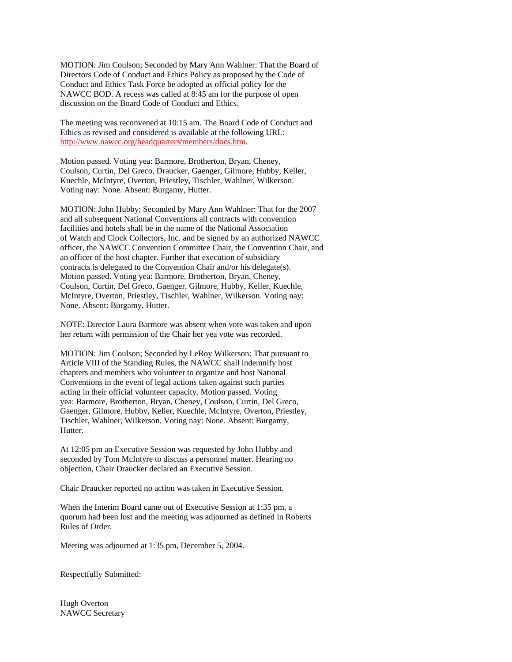MOTION: Jim Coulson; Seconded by Mary Ann Wahlner: That the Board of Directors Code of Conduct and Ethics Policy as proposed by the Code of Conduct and Ethics Task Force be adopted as official policy for the NAWCC BOD. A recess was called at 8:45 am for the purpose of open discussion on the Board Code of Conduct and Ethics.

The meeting was reconvened at 10:15 am. The Board Code of Conduct and Ethics as revised and considered is available at the following URL: http://www.nawcc.org/headquarters/members/docs.htm.

Motion passed. Voting yea: Barmore, Brotherton, Bryan, Cheney, Coulson, Curtin, Del Greco, Draucker, Gaenger, Gilmore, Hubby, Keller, Kuechle, McIntyre, Overton, Priestley, Tischler, Wahlner, Wilkerson. Voting nay: None. Absent: Burgamy, Hutter.

MOTION: John Hubby; Seconded by Mary Ann Wahlner: That for the 2007 and all subsequent National Conventions all contracts with convention facilities and hotels shall be in the name of the National Association of Watch and Clock Collectors, Inc. and be signed by an authorized NAWCC officer, the NAWCC Convention Committee Chair, the Convention Chair, and an officer of the host chapter. Further that execution of subsidiary contracts is delegated to the Convention Chair and/or his delegate(s). Motion passed. Voting yea: Barmore, Brotherton, Bryan, Cheney, Coulson, Curtin, Del Greco, Gaenger, Gilmore, Hubby, Keller, Kuechle, McIntyre, Overton, Priestley, Tischler, Wahlner, Wilkerson. Voting nay: None. Absent: Burgamy, Hutter.

NOTE: Director Laura Barmore was absent when vote was taken and upon her return with permission of the Chair her yea vote was recorded.

MOTION: Jim Coulson; Seconded by LeRoy Wilkerson: That pursuant to Article VIII of the Standing Rules, the NAWCC shall indemnify host chapters and members who volunteer to organize and host National Conventions in the event of legal actions taken against such parties acting in their official volunteer capacity. Motion passed. Voting yea: Barmore, Brotherton, Bryan, Cheney, Coulson, Curtin, Del Greco, Gaenger, Gilmore, Hubby, Keller, Kuechle, McIntyre, Overton, Priestley, Tischler, Wahlner, Wilkerson. Voting nay: None. Absent: Burgamy, Hutter.

At 12:05 pm an Executive Session was requested by John Hubby and seconded by Tom McIntyre to discuss a personnel matter. Hearing no objection, Chair Draucker declared an Executive Session.

Chair Draucker reported no action was taken in Executive Session.

When the Interim Board came out of Executive Session at 1:35 pm, a quorum had been lost and the meeting was adjourned as defined in Roberts Rules of Order.

Meeting was adjourned at 1:35 pm, December 5, 2004.

Respectfully Submitted:

Hugh Overton NAWCC Secretary